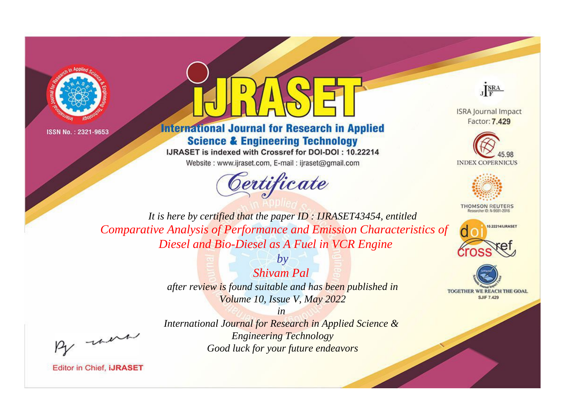



# **International Journal for Research in Applied Science & Engineering Technology**

IJRASET is indexed with Crossref for DOI-DOI: 10.22214

Website: www.ijraset.com, E-mail: ijraset@gmail.com





**ISRA Journal Impact** Factor: 7.429





**THOMSON REUTERS** 



TOGETHER WE REACH THE GOAL **SJIF 7.429** 

*It is here by certified that the paper ID : IJRASET43454, entitled Comparative Analysis of Performance and Emission Characteristics of Diesel and Bio-Diesel as A Fuel in VCR Engine*

> *by Shivam Pal after review is found suitable and has been published in Volume 10, Issue V, May 2022*

, un

*International Journal for Research in Applied Science & Engineering Technology Good luck for your future endeavors*

*in*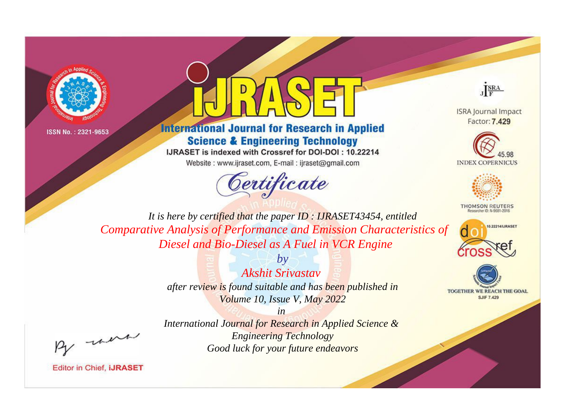



# **International Journal for Research in Applied Science & Engineering Technology**

IJRASET is indexed with Crossref for DOI-DOI: 10.22214

Website: www.ijraset.com, E-mail: ijraset@gmail.com





**ISRA Journal Impact** Factor: 7.429





**THOMSON REUTERS** 



TOGETHER WE REACH THE GOAL **SJIF 7.429** 

It is here by certified that the paper ID: IJRASET43454, entitled Comparative Analysis of Performance and Emission Characteristics of Diesel and Bio-Diesel as A Fuel in VCR Engine

> $b\nu$ Akshit Srivastav after review is found suitable and has been published in Volume 10, Issue V, May 2022

were

 $in$ International Journal for Research in Applied Science & **Engineering Technology** Good luck for your future endeavors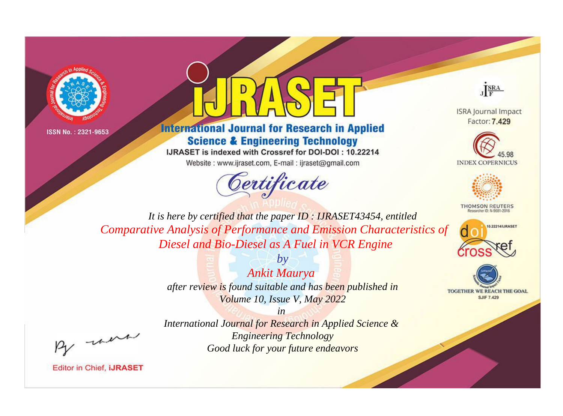



# **International Journal for Research in Applied Science & Engineering Technology**

IJRASET is indexed with Crossref for DOI-DOI: 10.22214

Website: www.ijraset.com, E-mail: ijraset@gmail.com





**ISRA Journal Impact** Factor: 7.429





**THOMSON REUTERS** 



TOGETHER WE REACH THE GOAL **SJIF 7.429** 

*It is here by certified that the paper ID : IJRASET43454, entitled Comparative Analysis of Performance and Emission Characteristics of Diesel and Bio-Diesel as A Fuel in VCR Engine*

> *by Ankit Maurya after review is found suitable and has been published in Volume 10, Issue V, May 2022*

> > *in*

, un

*International Journal for Research in Applied Science & Engineering Technology Good luck for your future endeavors*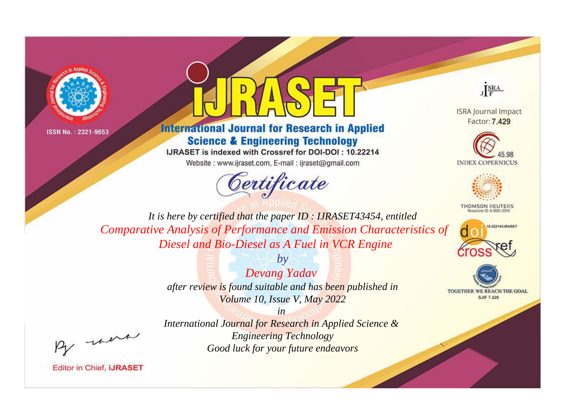



# **International Journal for Research in Applied Science & Engineering Technology**

IJRASET is indexed with Crossref for DOI-DOI: 10.22214

Website: www.ijraset.com, E-mail: ijraset@gmail.com





**ISRA Journal Impact** Factor: 7.429





**THOMSON REUTERS** 



TOGETHER WE REACH THE GOAL **SJIF 7.429** 

*It is here by certified that the paper ID : IJRASET43454, entitled Comparative Analysis of Performance and Emission Characteristics of Diesel and Bio-Diesel as A Fuel in VCR Engine*

> *by Devang Yadav after review is found suitable and has been published in Volume 10, Issue V, May 2022*

, un

*International Journal for Research in Applied Science & Engineering Technology Good luck for your future endeavors*

*in*